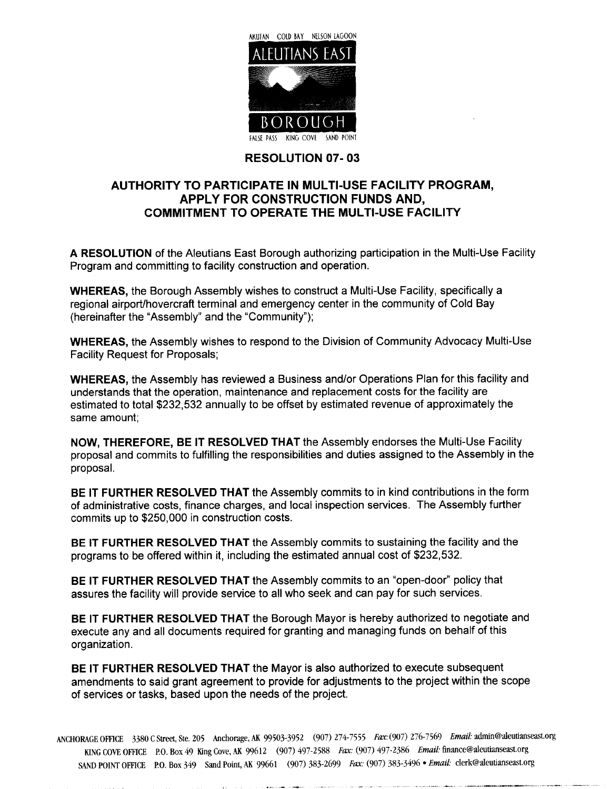

## **RESOLUTION 07-03**

## AUTHORITY TO PARTICIPATE IN MULTI-USE FACILITY PROGRAM, APPLY FOR CONSTRUCTION FUNDS AND COMMITMENT TO OPERATE THE MULTI-USE FACILITY

A RESOLUTION of the Aleutians East Borough authorizing participation in the Multi-Use Facility Program and committing to facility construction and operation.

WHEREAS, the Borough Assembly wishes to construct a Multi-Use Facility, specifically a regional airport/hovercraft terminal and emergency center in the community of Cold Bay (hereinafter the "Assembly" and the "Community");

WHEREAS, the Assembly wishes to respond to the Division of Community Advocacy Multi-Use Facility Request for Proposals

WHEREAS, the Assembly has reviewed a Business and/or Operations Plan for this facility and understands that the operation, maintenance and replacement costs for the facility are estimated to total \$232,532 annually to be offset by estimated revenue of approximately the same amount

NOW. THEREFORE. BE IT RESOLVED THAT the Assembly endorses the Multi-Use Facility proposal and commits to fulfilling the responsibilities and duties assigned to the Assembly in the proposal

BE IT FURTHER RESOLVED THAT the Assembly commits to in kind contributions in the form of administrative costs, finance charges, and local inspection services. The Assembly further commits up to \$250,000 in construction costs.

BE IT FURTHER RESOLVED THAT the Assembly commits to sustaining the facility and the programs to be offered within it, including the estimated annual cost of \$232,532.

BE IT FURTHER RESOLVED THAT the Assembly commits to an "open-door" policy that assures the facility will provide service to all who seek and can pay for such services

BE IT FURTHER RESOLVED THAT the Borough Mayor is hereby authorized to negotiate and execute any and all documents required for granting and managing funds on behalf of this organization

BE IT FURTHER RESOLVED THAT the Mayor is also authorized to execute subsequent amendments to said grant agreement to provide for adjustments to the project within the scope of services or tasks, based upon the needs of the project.

ANCHORAGE OFFICE 3380 C Street, Ste. 205 Anchorage, AK 99503-3952 (907) 274-7555 Fax: (907) 276-7569 Email: admin@aleutianseast.org KING COVE OFFICE P.O. Box 49 King Cove, AK 99612 (907) 497-2588 Fax: (907) 497-2386 Email: finance@aleutianseast.org SAND POINT OFFICE P.O. Box 349 Sand Point, AK 99661 (907) 383-2699 Fax: (907) 383-3496 · Email: clerk@aleutianseast.org